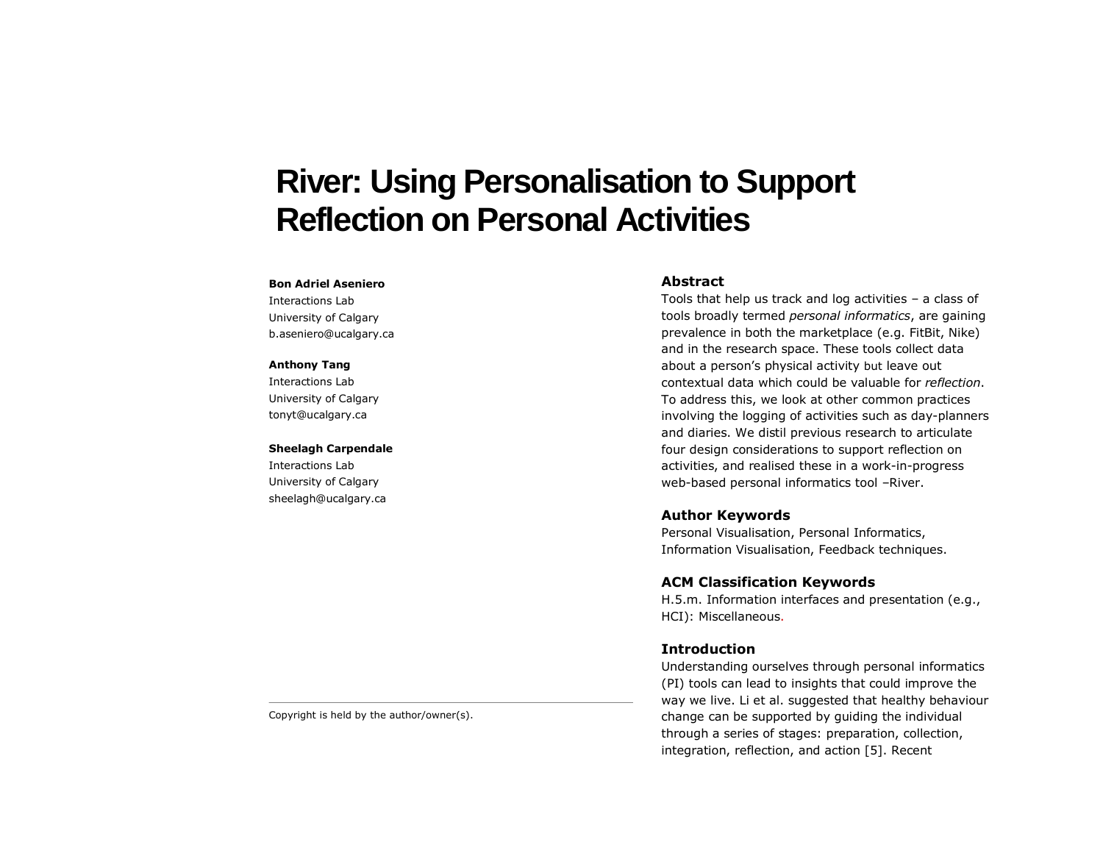# **River: Using Personalisation to Support Reflection on Personal Activities**

#### **Bon Adriel Aseniero**

Interactions Lab University of Calgary b.aseniero@ucalgary.ca

#### **Anthony Tang**

Interactions Lab University of Calgary tonyt@ucalgary.ca

#### **Sheelagh Carpendale**

Interactions Lab University of Calgary sheelagh@ucalgary.ca

#### **Abstract**

Tools that help us track and log activities – a class of tools broadly termed *personal informatics*, are gaining prevalence in both the marketplace (e.g. FitBit, Nike) and in the research space. These tools collect data about a person's physical activity but leave out contextual data which could be valuable for *reflection*. To address this, we look at other common practices involving the logging of activities such as day-planners and diaries. We distil previous research to articulate four design considerations to support reflection on activities, and realised these in a work-in-progress web-based personal informatics tool –River.

## **Author Keywords**

Personal Visualisation, Personal Informatics, Information Visualisation, Feedback techniques.

## **ACM Classification Keywords**

H.5.m. Information interfaces and presentation (e.g., HCI): Miscellaneous.

### **Introduction**

Understanding ourselves through personal informatics (PI) tools can lead to insights that could improve the way we live. Li et al. suggested that healthy behaviour change can be supported by guiding the individual through a series of stages: preparation, collection, integration, reflection, and action [5]. Recent

Copyright is held by the author/owner(s).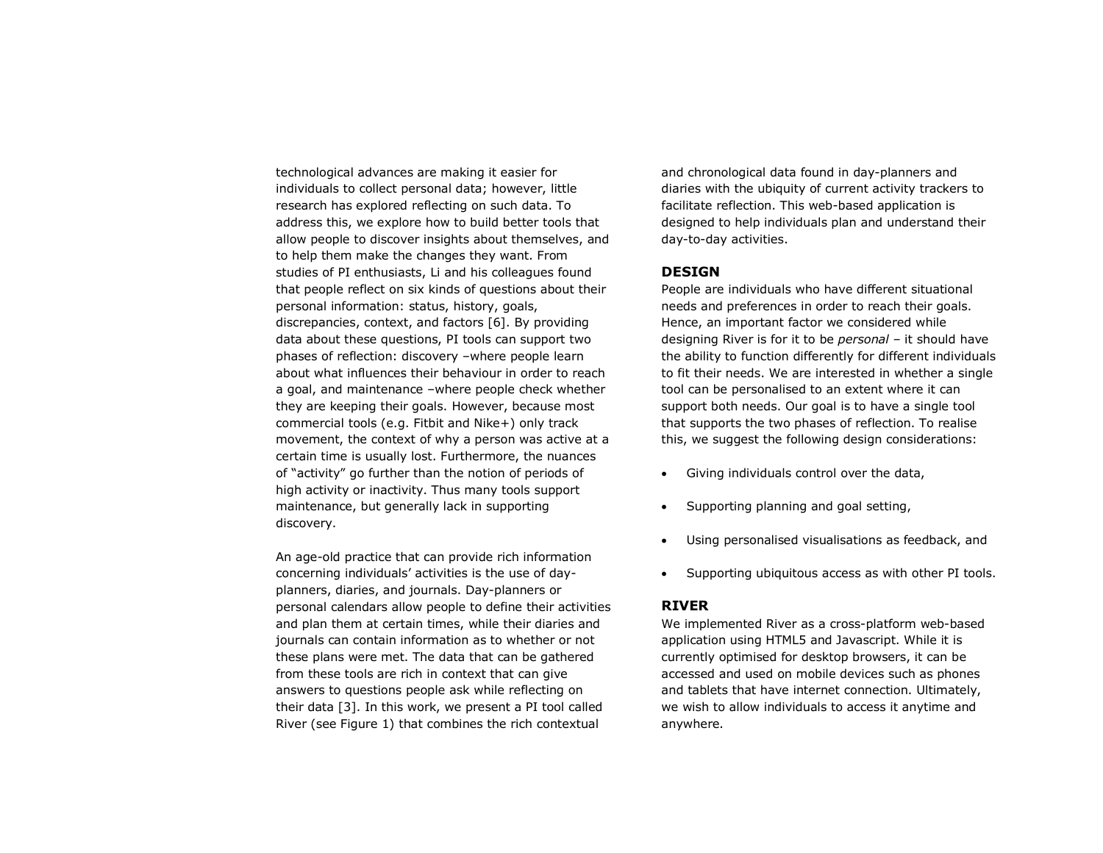technological advances are making it easier for individuals to collect personal data; however, little research has explored reflecting on such data. To address this, we explore how to build better tools that allow people to discover insights about themselves, and to help them make the changes they want. From studies of PI enthusiasts, Li and his colleagues found that people reflect on six kinds of questions about their personal information: status, history, goals, discrepancies, context, and factors [6]. By providing data about these questions, PI tools can support two phases of reflection: discovery –where people learn about what influences their behaviour in order to reach a goal, and maintenance –where people check whether they are keeping their goals. However, because most commercial tools (e.g. Fitbit and Nike+) only track movement, the context of why a person was active at a certain time is usually lost. Furthermore, the nuances of "activity" go further than the notion of periods of high activity or inactivity. Thus many tools support maintenance, but generally lack in supporting discovery.

An age-old practice that can provide rich information concerning individuals' activities is the use of dayplanners, diaries, and journals. Day-planners or personal calendars allow people to define their activities and plan them at certain times, while their diaries and journals can contain information as to whether or not these plans were met. The data that can be gathered from these tools are rich in context that can give answers to questions people ask while reflecting on their data [3]. In this work, we present a PI tool called River (see Figure 1) that combines the rich contextual

and chronological data found in day-planners and diaries with the ubiquity of current activity trackers to facilitate reflection. This web-based application is designed to help individuals plan and understand their day-to-day activities.

## **DESIGN**

People are individuals who have different situational needs and preferences in order to reach their goals. Hence, an important factor we considered while designing River is for it to be *personal* – it should have the ability to function differently for different individuals to fit their needs. We are interested in whether a single tool can be personalised to an extent where it can support both needs. Our goal is to have a single tool that supports the two phases of reflection. To realise this, we suggest the following design considerations:

- Giving individuals control over the data,
- Supporting planning and goal setting,
- Using personalised visualisations as feedback, and
- Supporting ubiquitous access as with other PI tools.

## **RIVER**

We implemented River as a cross-platform web-based application using HTML5 and Javascript. While it is currently optimised for desktop browsers, it can be accessed and used on mobile devices such as phones and tablets that have internet connection. Ultimately, we wish to allow individuals to access it anytime and anywhere.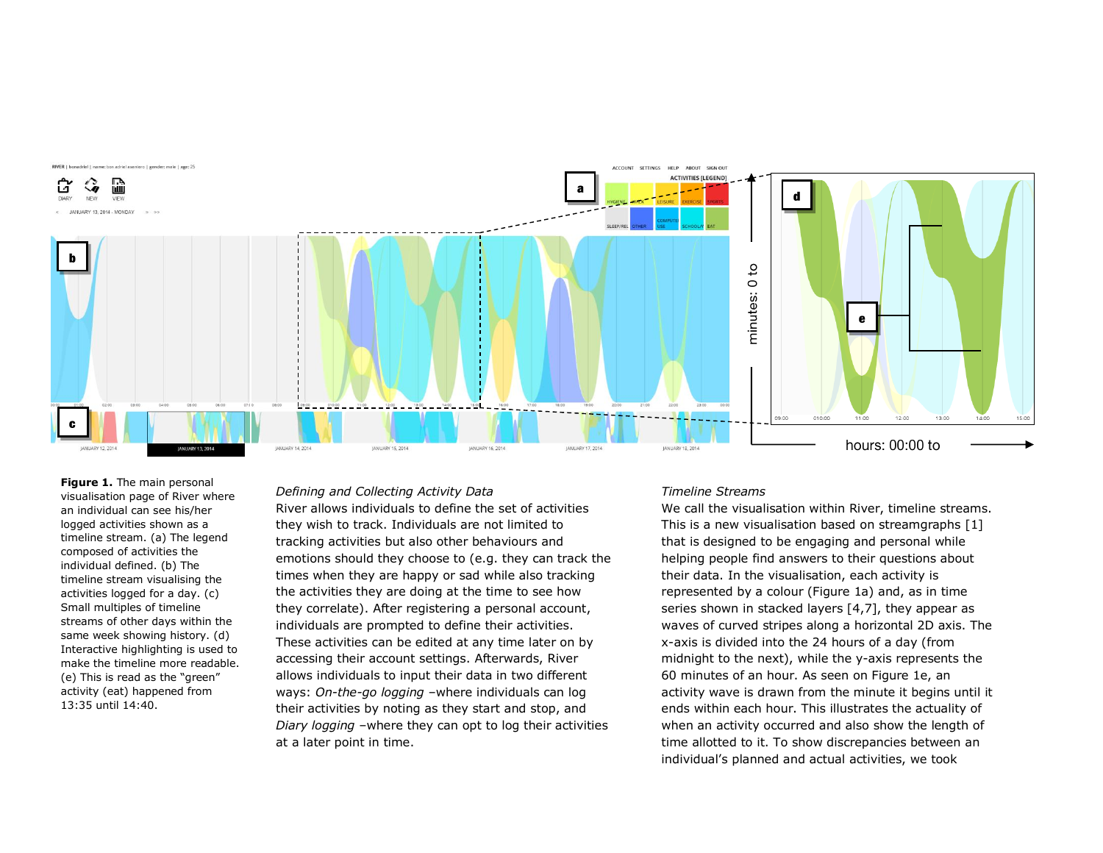

**Figure 1.** The main personal visualisation page of River where an individual can see his/her logged activities shown as a timeline stream. (a) The legend composed of activities the individual defined. (b) The timeline stream visualising the activities logged for a day. (c) Small multiples of timeline streams of other days within the same week showing history. (d) Interactive highlighting is used to make the timeline more readable. (e) This is read as the "green" activity (eat) happened from 13:35 until 14:40.

#### *Defining and Collecting Activity Data*

River allows individuals to define the set of activities they wish to track. Individuals are not limited to tracking activities but also other behaviours and emotions should they choose to (e.g. they can track the times when they are happy or sad while also tracking the activities they are doing at the time to see how they correlate). After registering a personal account, individuals are prompted to define their activities. These activities can be edited at any time later on by accessing their account settings. Afterwards, River allows individuals to input their data in two different ways: *On-the-go logging* –where individuals can log their activities by noting as they start and stop, and *Diary logging* –where they can opt to log their activities at a later point in time.

#### *Timeline Streams*

We call the visualisation within River, timeline streams. This is a new visualisation based on streamgraphs [1] that is designed to be engaging and personal while helping people find answers to their questions about their data. In the visualisation, each activity is represented by a colour (Figure 1a) and, as in time series shown in stacked layers [4,7], they appear as waves of curved stripes along a horizontal 2D axis. The x-axis is divided into the 24 hours of a day (from midnight to the next), while the y-axis represents the 60 minutes of an hour. As seen on Figure 1e, an activity wave is drawn from the minute it begins until it ends within each hour. This illustrates the actuality of when an activity occurred and also show the length of time allotted to it. To show discrepancies between an individual's planned and actual activities, we took